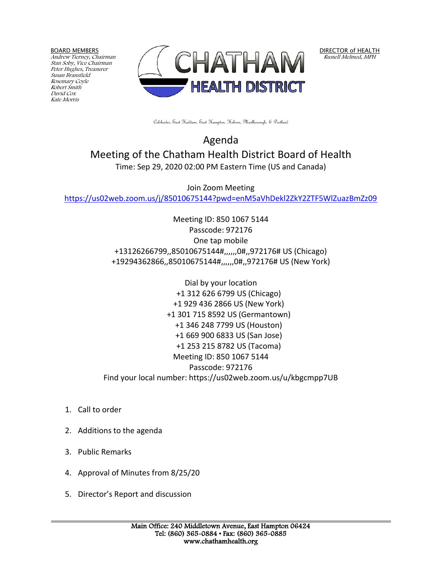BOARD MEMBERS

Andrew Tierney, Chairman Stan Soby, Vice Chairman Peter Hughes, Treasurer Susan Bransfield Rosemary Coyle Robert Smith David Cox Kate Morris



DIRECTOR of HEALTH Russell Melmed, MPH

Colchester, East Haddam, East Hampton, Hebron, Marlborough, & Portland

Agenda Meeting of the Chatham Health District Board of Health Time: Sep 29, 2020 02:00 PM Eastern Time (US and Canada)

Join Zoom Meeting <https://us02web.zoom.us/j/85010675144?pwd=enM5aVhDekl2ZkY2ZTF5WlZuazBmZz09>

> Meeting ID: 850 1067 5144 Passcode: 972176 One tap mobile +13126266799,,85010675144#,,,,,,0#,,972176# US (Chicago) +19294362866,,85010675144#,,,,,,0#,,972176# US (New York)

Dial by your location +1 312 626 6799 US (Chicago) +1 929 436 2866 US (New York) +1 301 715 8592 US (Germantown) +1 346 248 7799 US (Houston) +1 669 900 6833 US (San Jose) +1 253 215 8782 US (Tacoma) Meeting ID: 850 1067 5144 Passcode: 972176 Find your local number: https://us02web.zoom.us/u/kbgcmpp7UB

- 1. Call to order
- 2. Additions to the agenda
- 3. Public Remarks
- 4. Approval of Minutes from 8/25/20
- 5. Director's Report and discussion